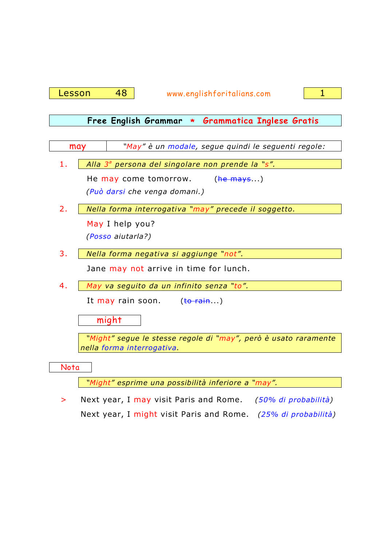Lesson 48 www.englishforitalians.com 1



## **Free English Grammar \* Grammatica Inglese Gratis**

| may  | "May" è un modale, segue quindi le seguenti regole:                                           |
|------|-----------------------------------------------------------------------------------------------|
|      |                                                                                               |
| 1.   | Alla 3 <sup>ª</sup> persona del singolare non prende la "s".                                  |
|      | He may come tomorrow. (he mays)                                                               |
|      | (Può darsi che venga domani.)                                                                 |
| 2.   | Nella forma interrogativa "may" precede il soggetto.                                          |
|      | May I help you?                                                                               |
|      | (Posso aiutarla?)                                                                             |
| 3.   | Nella forma negativa si aggiunge "not".                                                       |
|      | Jane may not arrive in time for lunch.                                                        |
| 4.   | May va seguito da un infinito senza "to".                                                     |
|      | It may rain soon. (to rain)                                                                   |
|      | might                                                                                         |
|      | "Might" segue le stesse regole di "may", però è usato raramente<br>nella forma interrogativa. |
| Nota |                                                                                               |

 *"Might" esprime una possibilità inferiore a "may".* 

> Next year, I may visit Paris and Rome. *(50% di probabilità)* Next year, I might visit Paris and Rome. *(25% di probabilità)*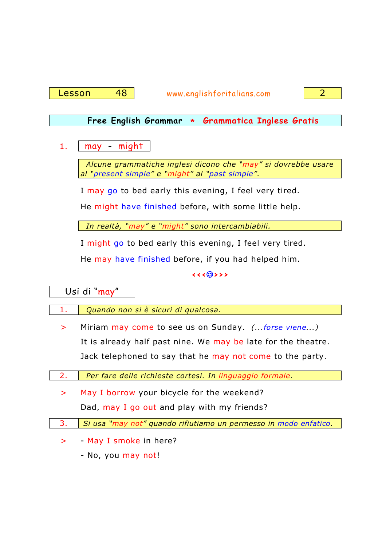

## **Free English Grammar \* Grammatica Inglese Gratis**

1.  $\Box$  may - might

 *Alcune grammatiche inglesi dicono che "may" si dovrebbe usare al "present simple" e "might" al "past simple".* 

I may go to bed early this evening, I feel very tired.

He might have finished before, with some little help.

 *In realtà, "may" e "might" sono intercambiabili.* 

I might go to bed early this evening, I feel very tired.

He may have finished before, if you had helped him.

**<<<**☺**>>>**

Usi di "may"

l

- 1. *Quando non si è sicuri di qualcosa.* 
	- > Miriam may come to see us on Sunday. *(...forse viene...)* It is already half past nine. We may be late for the theatre. Jack telephoned to say that he may not come to the party.
- 2. *Per fare delle richieste cortesi. In linguaggio formale.* 
	- > May I borrow your bicycle for the weekend? Dad, may I go out and play with my friends?
- 3. *Si usa "may not" quando rifiutiamo un permesso in modo enfatico.* 
	- > May I smoke in here?
		- No, you may not!